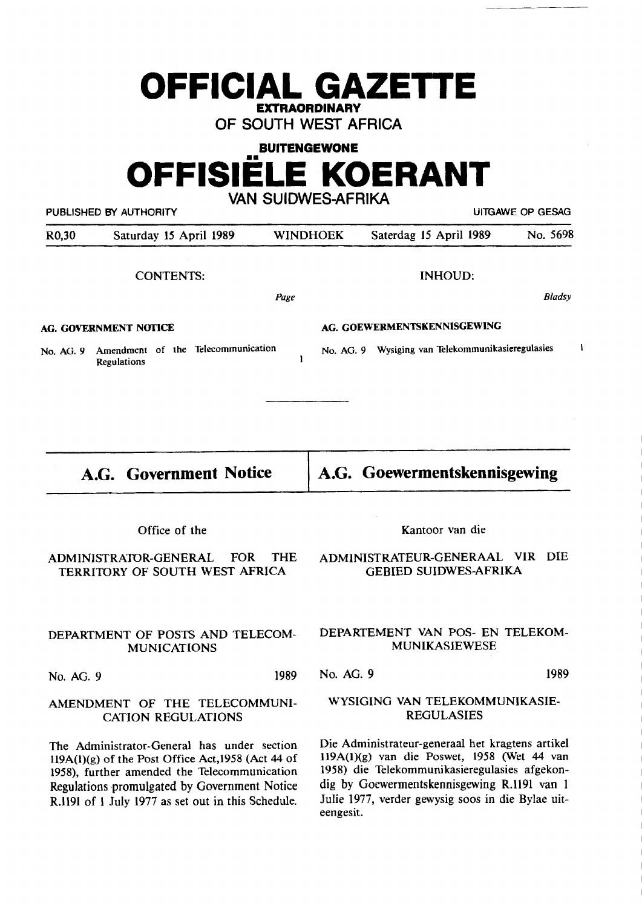# **OFFICIAL GAZETTE EXTRAORDINARY**

**OF SOUTH WEST AFRICA** 

**BUITENGEWONE** 

# **OFFISIELE KOERANT VAN SUIDWES-AFRIKA**

PUBLISHED BY AUTHORITY **AUTHORITY Example 20 YO FOR SEXAGE OF GESAGE OF GESAGE OF GESAGE OF GESAGE OF GESAGE OF GESAGE OF GESAGE OF GESAGE OF GESAGE OF GESAGE OF GESAGE OF GESAGE OF GESAGE OF GESAGE OF GESAGE OF GESAGE O** R0,30 Saturday 15 April 1989 WINDHOEK Saterdag 15 April 1989 No. 5698 CONTENTS: Page **AG. GOVERNMENT NOTICE**  No. AG. 9 Amendment of the Telecommunication Regulations **A.G. Government Notice**  Office of the ADMINISTRATOR-GENERAL FOR THE TERRITORY OF SOUTH WEST AFRICA DEPARTMENT OF POSTS AND TELECOM-**MUNICATIONS**  No. AG. 9 1989 AMENDMENT OF THE TELECOMMUNI-CATION REGULATIONS The Administrator-General has under section ll9A(l)(g) of the Post Office Act,1958 (Act 44 of 1958), further amended the Telecommunication Regulations ·promulgated by Government Notice R.1191 of 1 July 1977 as set out in this Schedule. INHOUD: Bladsy **AG. GOEWERMENTSKENNISGEWING**  No. AG. 9 Wysiging van Telekommunikasieregulasies **A.G. Goewermentskennisgewing**  Kantoor van die **ADMINISTRATEUR-GENERAAL VIR DIE GEBIED SUIDWES-AFRIKA DEPARTEMENT VAN POS- EN TELEKOM-MUNIKASIEWESE**  No. AG. 9 1989 WYSIGING VAN TELEKOMMUNIKASIE-REGULASIES Die Administrateur-generaal het kragtens artikel 119A(l)(g) van die Poswet, 1958 (Wet 44 van 1958) die Telekommunikasieregulasies afgekondig by Goewermentskennisgewing R.1191 van 1 Julie 1977, verder gewysig soos in die Bylae uit-

 $\mathbf{1}$ 

eengesit.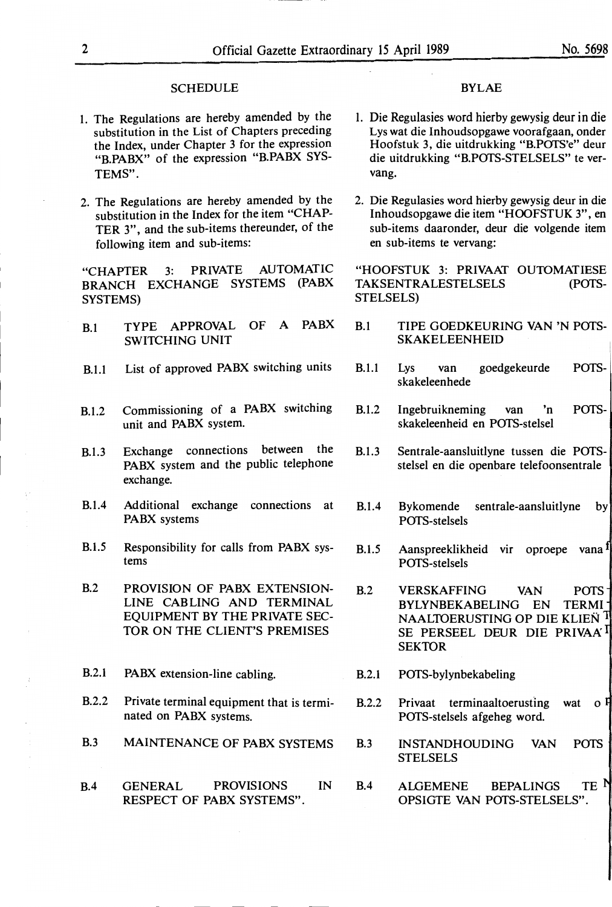#### **SCHEDULE**

- 1. The Regulations are hereby amended by the substitution in the List of Chapters preceding the Index, under Chapter 3 for the expression **"B.PABX"** of the expression **"B.PABX** SYS-TEMS".
- 2. The Regulations are hereby amended by the substitution in the Index for the item "CHAP-TER 3", and the sub-items thereunder, of the following item and sub-items:

"CHAPTER 3: PRIVATE AUTOMATIC BRANCH EXCHANGE SYSTEMS (PABX SYSTEMS)

- B.1 **TYPE APPROVAL OF A PABX B.1 TIPE GOEDKEURING VAN 'N POTS-SWITCHING UNIT SKAKELEENHEID**
- B.1.1 List of approved **PABX** switching units
- B.1.2 Commissioning of a **PABX** switching unit and **PABX** system.
- B.1.3 Exchange connections between the **PABX** system and the public telephone exchange.
- B.1.4 Additional exchange connections at **PABX** systems
- B.1.5 Responsibility for calls from **PABX** systems
- B.2 PROVISION OF PABX EXTENSION-LINE CABLING AND TERMINAL EQUIPMENT BY THE PRIVATE SEC-TOR ON THE CLIENT'S PREMISES
- B.2.1 **PABX** extension-line cabling.
- B.2.2 Private terminal equipment that is terminated on **PABX** systems.
- B.3 MAINTENANCE OF PABX SYSTEMS
- B.4 GENERAL PROVISIONS IN RESPECT OF PABX SYSTEMS".

#### BYLAE

- l. Die Regulasies word hierby gewysig deur in die Lys wat die Inhoudsopgawe voorafgaan, onder Hoofstuk 3, die uitdrukking "B.POTS'e" deur die uitdrukking "B.POTS-STELSELS" te vervang.
- 2. Die Regulasies word hierby gewysig deur in die Inhoudsopgawe die item "HOOFSTUK 3", en sub-items daaronder, deur die volgende item en sub-items te vervang:

"HOOFSTUK 3: PRIVAAT OUTOMATIESE TAKSENTRALESTELSELS (POTS-STELSELS)

- 
- B.1.1 Lys van goedgekeurde skakeleenhede POTS-
- B.1.2 Ingebruikneming van 'n POTSskakeleenheid en POTS-stelsel
- B.1.3 Sentrale-aansluitlyne tussen die POTSstelsel en die openbare telefoonsentrale
- B.1.4 Bykomende sentrale-aansluitlyne by POTS-stelsels
- B.1.5 Aanspreeklikheid vir oproepe vana<sup>1</sup> POTS-stelsels
- B.2 VERSKAFFING VAN POTS BYLYNBEKABELING EN TERM! NAALTOERUSTING OP DIE KLIEN<sup>1</sup> SE PERSEEL DEUR DIE PRIVAA<sup>'I</sup> **SEKTOR**
- B.2.1 POTS-bylynbekabeling
- B.2.2 Privaat terminaaltoerusting wat  $\sigma$ <sup>p</sup> POTS-stelsels afgeheg word.
- B.3 INSTANDHOUDING VAN POTS **STELSELS**
- B.4 ALGEMENE BEPALINGS TE OPSIGTE VAN POTS-STELSELS".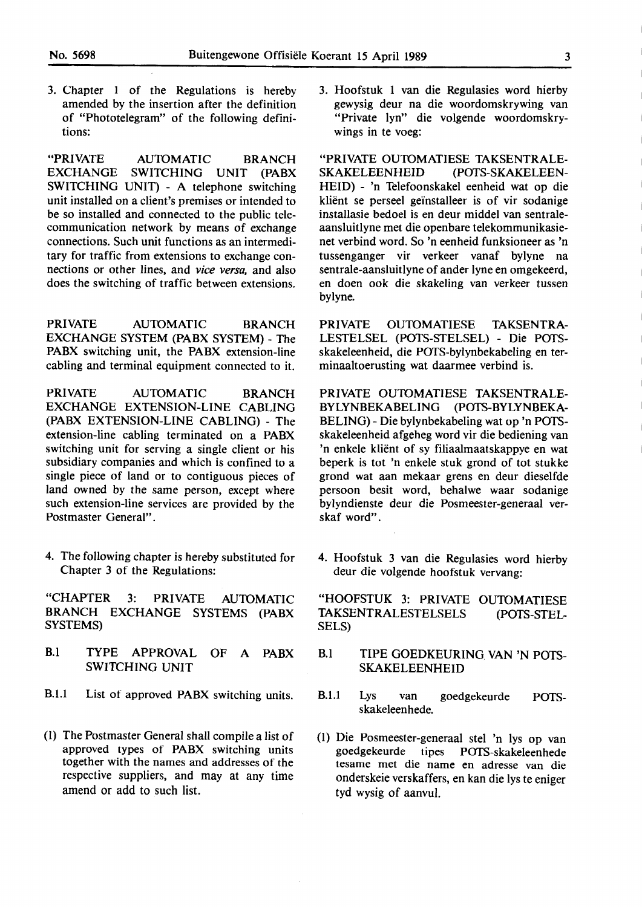3. Chapter 1 of the Regulations is hereby amended by the insertion after the definition of "Phototelegram" of the following definitions:

**"PRIVATE AUIDMATIC BRANCH EXCHANGE SWITCHING UNIT (PABX SWITCHING UNIT)** - **A telephone switching**  unit installed on a client's premises or intended to be so installed and connected to the public telecommunication network by means of exchange connections. Such unit functions as an intermeditary for traffic from extensions to exchange connections or other lines, and *vice versa,* and also does the switching of traffic between extensions.

PRIVATE AUTOMATIC BRANCH **EXCHANGE SYSTEM (PABX SYSTEM)** - The PABX switching unit, the PABX extension-line cabling and terminal equipment connected to it.

PRIVATE AUTOMATIC BRANCH **EXCHANGE EXTENSION-LINE CABLING**  (PABX EXTENSION-LINE CABLING) - The extension-line cabling terminated on a **PABX**  switching unit for serving a single client or his subsidiary companies and which is confined to a single piece of land or to contiguous pieces of land owned by the same person, except where such extension-line services are provided by the Postmaster General".

4. The following chapter is hereby substituted for Chapter 3 of the Regulations:

"CHAPTER 3: PRIVATE AUIDMATIC **BRANCH EXCHANGE SYSTEMS (PABX SYSTEMS)** 

- B.l **TYPE APPROVAL OF A PABX**  SWITCHING UNIT
- B.1.1 List of approved PABX switching units.
- (I) The Postmaster General shall compile a list of approved types of **PABX** switching units together with the names and addresses of the respective suppliers, and may at any time amend or add to such list.

3. Hoofstuk 1 van die Regulasies word hierby gewysig deur na die woordomskrywing van "Private lyn" die volgende woordomskrywings in te voeg:

"PRIVATE OUTOMATIESE TAKSENTRALE-**SKAKELEENHEID (POfS-SKAKELEEN-**HEID) - 'n Telefoonskakel eenheid wat op die kliënt se perseel geïnstalleer is of vir sodanige installasie bedoel is en deur middel van sentraleaansluitlyne met die openbare telekommunikasienet verbind word. So 'n eenheid funksioneer as 'n tussenganger vir verkeer vanaf bylyne na sentrale-aansluitlyne of ander lyne en omgekeerd, en doen ook die skakeling van verkeer tussen bylyne.

PRIVATE OUTOMATIESE TAKSENTRA-LESTELSEL (POTS-STELSEL) - Die POfSskakeleenheid, die POfS-bylynbekabeling en terminaaltoerusting wat daarmee verbind is.

PRIVATE OUTOMATIESE TAKSENTRALE-**BYLYNBEKABELING (POfS-BYLYNBEKA-**BELING) - Die bylynbekabeling wat op 'n POfSskakeleenheid afgeheg word vir die bediening van 'n enkele klient of sy filiaalmaatskappye en wat beperk is tot 'n enkele stuk grond of tot stukke grond wat aan mekaar grens en deur dieselfde persoon besit word, behalwe waar sodanige bylyndienste deur die Posmeester-generaal verskaf word".

4. Hoofstuk 3 van die Regulasies word hierby deur die volgende hoofstuk vervang:

"HOOFSTUK 3: PRIVATE OUTOMATIESE TAKSENTRALESTELSELS (POTS-STEL-SELS)

- B.I TIPE GOEDKEURING **VAN 'N** POfS-SKAKELEENHEID
- B.1.1 Lys van goedgekeurde skakeleenhede. **POTS-**
- (I) Die Posmeester-generaal stel 'n lys op van goedgekeurde tipes POTS-skakeleenhede tesame met die name en adresse van die onderskeie verskaffers, en kan die lys te eniger tyd wysig of aanvul.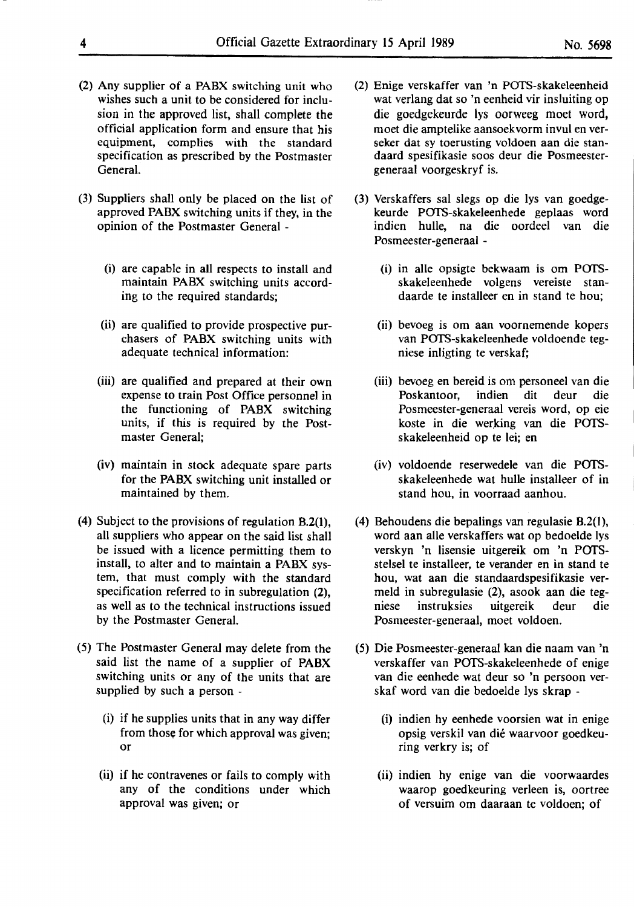- (2) Any supplier of a PABX switching unit who wishes such a unit to be considered for inclusion in the approved list, shall complete the official application form and ensure that his equipment, complies with the standard specification as prescribed by the Postmaster General.
- (3) Suppliers shall only be placed on the list of approved PABX switching units if they, in the opinion of the Postmaster General -
	- (i) are capable in all respects to install and maintain PABX switching units according to the required standards;
	- (ii) are qualified to provide prospective purchasers of PABX switching units with adequate technical information:
	- (iii) are qualified and prepared at their own expense to train Post Office personnel in the functioning of **PABX** switching units, if this is required by the Postmaster General;
	- (iv) maintain in stock adequate spare parts for the **PABX** switching unit installed or maintained by them.
- (4) Subject to the provisions of regulation B.2(1), all suppliers who appear on the said list shall be issued with a licence permitting them to install, to alter and to maintain a PABX system, that must comply with the standard specification referred to in subregulation (2), as well as to the technical instructions issued by the Postmaster General.
- (5) The Postmaster General may delete from the said list the name of a supplier of **PABX**  switching units or any of the units that are supplied by such a person -
	- (i) if he supplies units that in any way differ from those for which approval was given; or
	- (ii) if he contravenes or fails to comply with any of the conditions under which approval was given; or
- (2) Enige verskaffer van 'n POTS-skakeleenheid wat verlang dat so 'n eenheid vir insluiting op die goedgekeurde lys oorweeg moet word, moet die amptelike aansoekvorm invul en verseker dat sy toerusting voldoen aan die standaard spesifikasie soos deur die Posmeestergeneraal voorgeskryf is.
- (3) Verskaffers sal slegs op die lys van goedgekeurde POTS-skakeleenhede geplaas word indien hulle, na die oordeel van die Posmeester-generaal -
	- (i) in alle opsigte bekwaam is om POI'Sskakeleenhede volgens vereiste standaarde te installeer en in stand te hou;
	- (ii) bevoeg is om aan voornemende kopers van POTS-skakeleenhede voldoende tegniese inligting te verskaf;
	- (iii) bevoeg en bereid is om personeel van die Poskantoor, indien dit deur die Posmeester-generaal vereis word, op eie koste in die werking van die POTSskakeleenheid op te lei; en
	- (iv) voldoende reserwedele van die POI'Sskakeleenhede wat hulle installeer of in stand hou, in voorraad aanhou.
- (4) Behoudens die bepalings van regulasie B.2(1), word aan alle verskaffers wat op bedoelde lys verskyn 'n lisensie uitgereik om 'n Porsstelsel te installeer, te verander en in stand te hou, wat aan die standaardspesifikasie vermeld in subregulasie (2), asook aan die tegniese instruksies uitgereik deur die Posmeester-generaal, moet voldoen.
- (5) Die Posmeester-generaal kan die naam van 'n verskaffer van POTS-skakeleenhede of enige van die eenhede wat deur so 'n persoon verskaf word van die bedoelde lys skrap -
	- (i) indien hy eenhede voorsien wat in enige opsig verskil van die waarvoor goedkeuring verkry is; of
	- (ii) indien hy enige van die voorwaardes waarop goedkeuring verleen is, oortree of versuim om daaraan te voldoen; of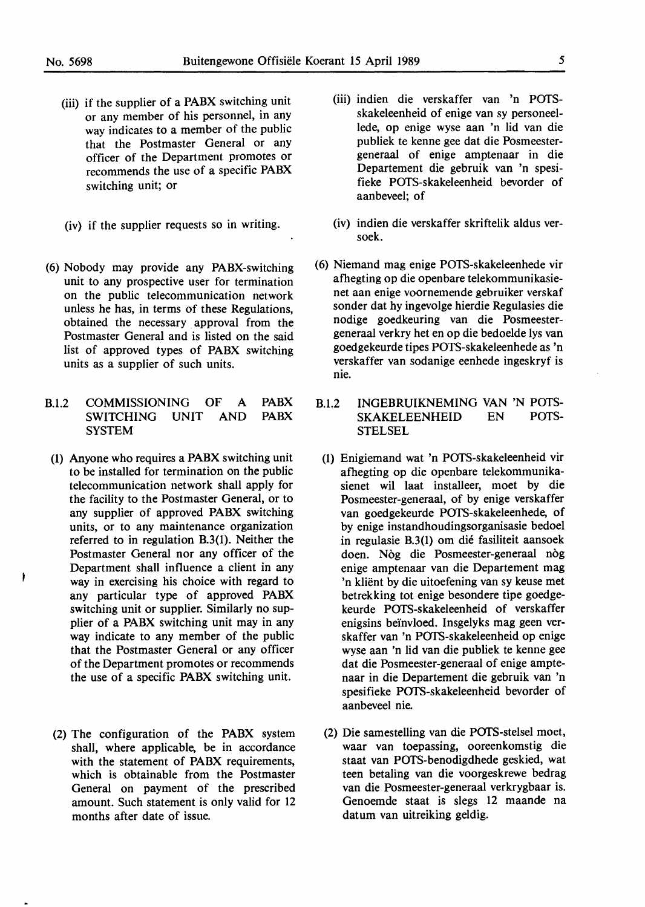- (iii) if the supplier of a PABX switching unit or any member of his personnel, in any way indicates to a member of the public that the Postmaster General or any officer of the Department promotes or recommends the use of a specific PABX switching unit; or
- (iv) if the supplier requests so in writing.
- (6) Nobody may provide any PABX-switching unit to any prospective user for termination on the public telecommunication network unless he has, in terms of these Regulations, obtained the necessary approval from the Postmaster General and is listed on the said list of approved types of **PABX** switching units as a supplier of such units.
- B.1.2 COMMISSIONING **OF A SWITCHING UNIT** AND **SYSTEM PABX PABX** 
	- (1) Anyone who requires a **PABX** switching unit to be installed for termination on the public telecommunication network shall apply for **the** facility to the Postmaster General, or to any supplier of approved **PABX** switching units, or to any maintenance organization referred to in regulation B.3(1). Neither the Postmaster General nor any officer of the Department shall influence a client in any way in exercising his choice with regard to any particular type of approved PABX switching unit or supplier. Similarly no supplier of a PABX switching unit may in any way indicate to any member of the public that the Postmaster General or any officer of the Department promotes or recommends the use of a specific PABX switching unit.
	- (2) The configuration of the PABX system shall, where applicable, be in accordance with the statement of PABX requirements, which is obtainable from the Postmaster General on payment of the prescribed amount. Such statement is only valid for 12 months after date of issue.
- (iii) indien die verskaffer van 'n POTSskakeleenheid of enige van sy personeellede, op enige wyse aan 'n lid van die publiek te kenne gee dat die Posmeestergeneraal of enige amptenaar in die Departement die gebruik van 'n spesifieke POTS-skakeleenheid bevorder of aanbeveel; of
- **(iv)** indien die verskaffer skriftelik aldus versoek.
- ( 6) Niemand mag enige POTS-skakeleenhede **vir**  afhegting **op** die openbare telekommunikasienet aan enige voornemende gebruiker verskaf sonder dat hy ingevolge hierdie Regulasies die nodige goedkeuring van die Posmeestergeneraal verkry bet en op die bedoelde lys van goedgekeurde tipes POTS-skakeleenhede as 'n verskaffer van sodanige eenhede ingeskryf is **nie.**
- B.1.2 **INGEBRUIKNEMING** VAN **'N** POTS-SKAKELEENHEID EN **STELSEL** 
	- (1) Enigiemand wat 'n POTS-skakeleenheid vir afhegting op die openbare telekommunikasienet wil laat installeer, moet by die Posmeester-generaal, of **by** enige verskaffer van goedgekeurde POTS-skakeleenhede, of by enige instandhoudingsorganisasie bedoel **in** regulasie B.3(1) om die fasiliteit aansoek doen. Nog die Posmeester-generaal nog enige amptenaar van die Departement mag **'n** klient **by** die uitoefening van sy keuse **met**  betrekking tot enige besondere tipe goedgekeurde POTS-skakeleenheid of verskaffer enigsins be'invloed. Insgelyks mag geen verskaffer van 'n POTS-skakeleenheid op enige wyse aan 'n lid van die publiek te kenne gee dat die Posmeester-generaal of enige amptenaar in die Departement die gebruik van 'n spesifieke POTS-skakeleenheid bevorder of aanbeveel nie.
	- (2) Die samestelling van die POTS-stelsel moet, waar van toepassing, ooreenkomstig die staat van POTS-benodigdhede geskied, wat teen betaling van die voorgeskrewe bedrag van die Posmeester-generaal verkrygbaar is. Genoemde staat is slegs 12 maande na datum van uitreiking geldig.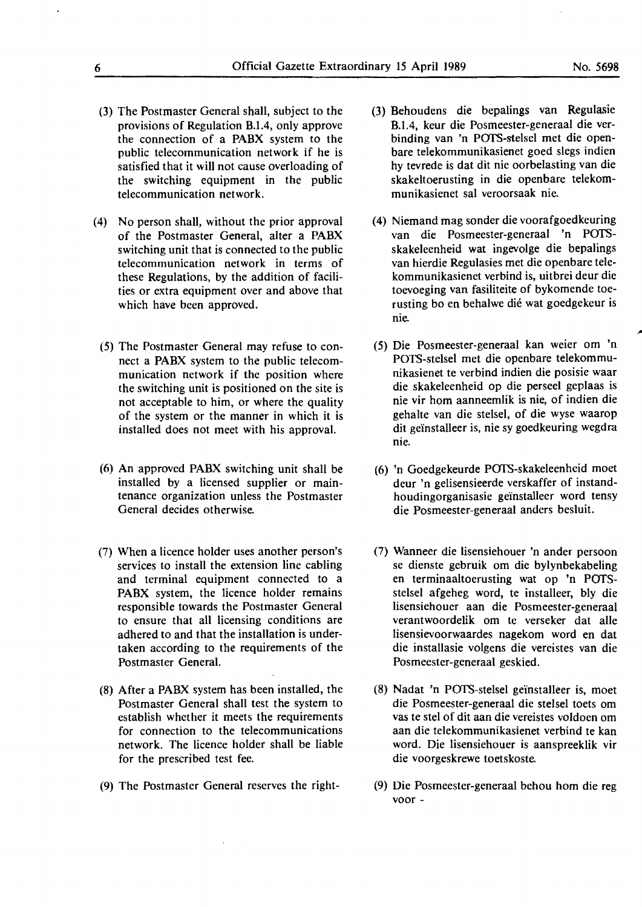- (3) The Postmaster General shall, subject to the provisions of Regulation B.1.4, only approve the connection of a **PABX** system to the public telecommunication network if he is satisfied that it will not cause overloading of the switching equipment in the public telecommunication network.
- (4) No person shall, without the prior approval of the Postmaster General, alter a **PABX**  switching unit that is connected to the public telecommunication network in terms of these Regulations, by the addition of facilities or extra equipment over and above that which have been approved.
	- (5) The Postmaster General may refuse to connect a **PABX** system to the public telecommunication network if the position where the switching unit is positioned on the site is not acceptable to him, or where the quality of the system or the manner in which it is installed does not meet with his approval.
	- (6) An approved PABX switching unit shall be installed by a licensed supplier or maintenance organization unless the Postmaster General decides otherwise.
- (7) When a licence holder uses another person's services to install the extension line cabling and terminal equipment connected to a **PABX** system, the licence holder remains responsible towards the Postmaster General to ensure that all licensing conditions are adhered to and that the installation is under**taken** according to the requirements of the Postmaster General.
- (8) After a PABX system has been installed, the Postmaster General shall test the system to establish whether it meets the requirements for connection to the telecommunications network. The licence holder shall be liable for the prescribed test fee.
- (9) The Postmaster General reserves the right-
- (3) Behoudens die bepalings van Regulasie B.1.4, keur die Posmeester-generaal die verbinding van 'n POTS-stelsel met die openbare telekommunikasienet goed slegs indien hy tevrede is dat dit nie oorbelasting van die skakeltoerusting in die openbare telekommunikasienet sal veroorsaak nie.
- (4) Niemand mag sonder die voorafgoedkeuring van die Posmeester-generaal 'n POTSskakeleenheid wat ingevolge die bepalings van hierdie Regulasies met die openbare telekommunikasienet verbind is, uitbrei deur die toevoeging van fasiliteite of bykomende toerusting bo en behalwe die wat goedgekeur is nie.
- (5) Die Posmeester-generaal **kan** weier om 'n POTS-stelsel met die openbare telekommunikasienet te verbind indien die posisie waar die skakeleenheid op die perseel geplaas is nie vir horn aanneemlik is nie, of indien die gehalte van die stelsel, of die wyse waarop dit geïnstalleer is, nie sy goedkeuring wegdra nie.
- (6) 'n Goedgekeurde POIS-skakeleenheid moet deur 'n gelisensieerde verskaffer of instandhoudingorganisasie geïnstalleer word tensy die Posmeester-generaal anders besluit.
- (7) Wanneer die lisensiehouer 'n ander persoon se dienste gebruik om die bylynbekabeling en terminaaltoerusting wat op 'n POTSstelsel afgeheg word, te installeer, bly die lisensiehouer aan die Posmeester-generaal verantwoordelik om te verseker dat alle lisensievoorwaardes nagekom word en dat die installasie volgens die vereistes van die Posmeester-generaal geskied.
- (8) Nadat 'n POTS-stelsel geïnstalleer is, moet die Posmeester-generaal die stelsel toets om vas te stel of dit aan die vereistes voldoen om aan die telekommunikasienet verbind te kan word. Die lisensiehouer is aanspreeklik vir die voorgeskrewe toetskoste.
- (9) Die Posmeester-generaal behou horn die reg voor -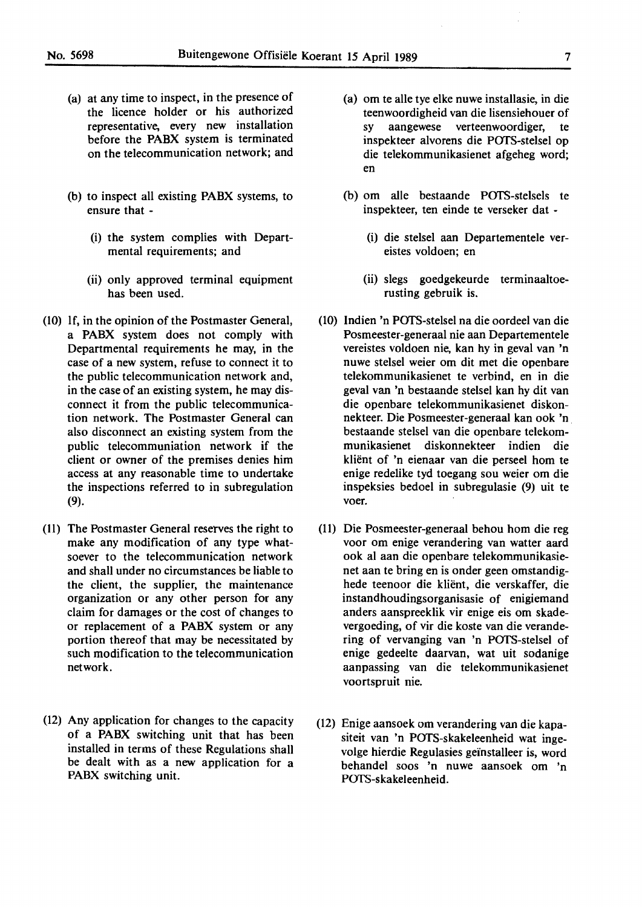- (a) at any time to inspect, in the presence of the licence holder or his authorized representative, every new installation before the **PABX** system is terminated on the telecommunication network; and
- (b) to inspect all existing **PABX** systems, to ensure that -
	- (i) the system complies with Departmental requirements; and
	- (ii) only approved terminal equipment has been used.
- (10) If, in the opinion of the Postmaster General, a **PABX** system does not comply with Departmental requirements he may, in the case of a new system, refuse to connect it to the public telecommunication network and, in the case of an existing system, he may disconnect it from the public telecommunication network. The Postmaster General can also disconnect an existing system from the public telecommuniation network if the client or owner of the premises denies him access at any reasonable time to undertake the inspections referred to in subregulation (9).
- (11) The Postmaster General reserves the right to make any modification of any type whatsoever to the telecommunication network and shall under no circumstances be liable to the client, the supplier, the maintenance organization or any other person for any claim for damages or the cost of changes to or replacement of a **PABX** system or any portion thereof that may be necessitated by such modification to the telecommunication network.
- (12) Any application for changes to the capacity of a **PABX** switching unit that has been installed in terms of these Regulations shall be dealt with as a new application for a PABX switching unit.
- (a) om te alle tye elke nuwe installasie, in die teenwoordigheid van die lisensiehouer of sy aangewese verteenwoordiger, te inspekteer alvorens die POTS-stelsel op die telekommunikasienet afgeheg word; en
- (b) om alle bestaande POfS-stelsels te inspekteer, ten einde te verseker dat -
	- (i) die stelsel aan Departementele vereistes voldoen; en
	- (ii) slegs goedgekeurde terminaaltoerusting gebruik is.
- (10) lndien 'n POfS-stelsel na die oordeel van die Posmeester-generaal nie aan Departementele vereistes voldoen nie, kan hy in geval van 'n nuwe stelsel weier om dit met die openbare telekommunikasienet te verbind, en in die geval van 'n bestaande stelsel kan hy dit van die openbare telekommunikasienet diskonnekteer. Die Posmeester-generaal kan ook 'n. bestaande stelsel van die openbare telekommunikasienet diskonnekteer indien die kliënt of 'n eienaar van die perseel hom te enige redelike tyd toegang sou weier om die inspeksies bedoel in subregulasie (9) uit te voer.
- (11) Die Posmeester-generaal behou horn die reg voor om enige verandering van watter aard ook al aan die openbare telekommunikasienet aan te bring en is onder geen omstandighede teenoor die kliënt, die verskaffer, die instandhoudingsorganisasie of enigiemand anders aanspreeklik vir enige eis om skadevergoeding, of vir die koste van die verandering of vervanging van 'n POTS-stelsel of enige gedeelte daarvan, wat uit sodanige aanpassing van die telekommunikasienet voortspruit nie.
- (12) Enige aansoek om verandering van die kapasiteit van 'n POTS-skakeleenheid wat ingevolge hierdie Regulasies geïnstalleer is, word behandel soos 'n nuwe aansoek om 'n POTS-skakeleenheid.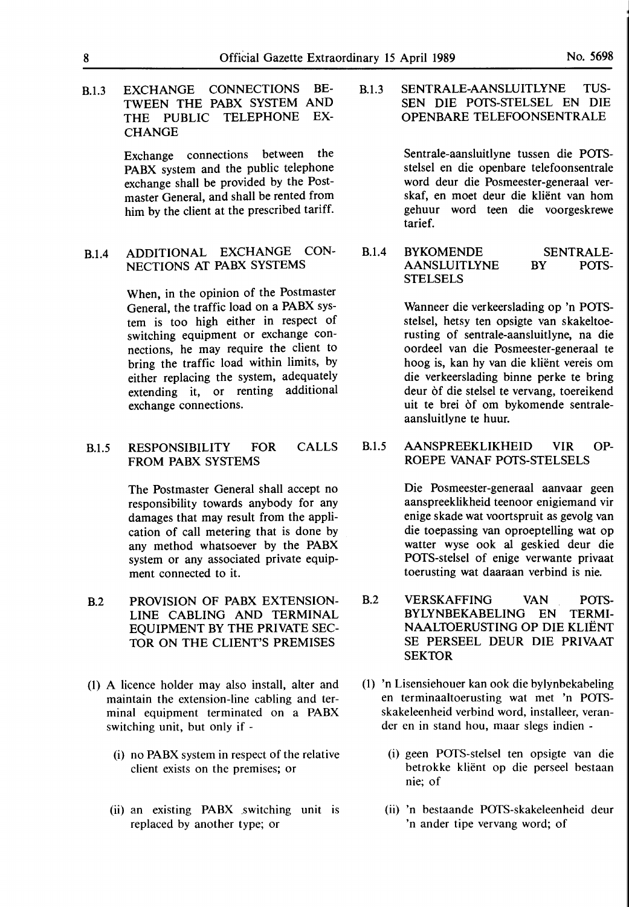B.1.3 **EXCHANGE CONNECTIONS** BE-**TWEEN THE PABX SYSTEM AND THE PUBLIC TELEPHONE EX-CHANGE** 

> Exchange connections between the **PABX** system and the public telephone exchange shall be provided by the Postmaster General, and shall be rented from him by the client at the prescribed tariff.

B.1.4 **ADDITIONAL EXCHANGE CON-NECTIONS AT PABX SYSTEMS** 

> When, in the opinion of the Postmaster General, the traffic load on a **PABX** system is too high either in respect of switching equipment or exchange connections, he may require the client to bring the traffic load within limits, by either replacing the system, adequately extending it, or renting additional exchange connections.

B.1.5 RESPONSIBILITY FOR FROM PABX SYSTEMS CALLS

> The Postmaster General shall accept no responsibility towards anybody for any damages that may result from the application of call metering that is done by any method whatsoever by the **PABX**  system or any associated private equipment connected to it.

- B.2 **PROVISION OF PABX EXTENSION-LINE CABLING AND TERMINAL EQUIPMENT BY THE PRIVATE** SEC-**TOR ON THE CLIENT'S PREMISES**
- (1) A licence holder may also install, alter and maintain the extension-line cabling and terminal equipment terminated on a **PABX**  switching unit, but only if -
	- (i) no **PABX** system in respect of the relative client exists on the premises; or
	- (ii) an existing PABX .switching unit is replaced by another type; or

B.1.3 SENTRALE-AANSLUITLYNE TUS-SEN DIE POTS-STELSEL EN DIE OPENBARE TELEFOONSENTRALE

> Sentrale-aansluitlyne tussen die POTSstelsel en die openbare telefoonsentrale word deur die Posmeester-generaal verskaf, en moet deur die kliënt van hom gehuur word teen die voorgeskrewe tarief.

B.1.4 BYKOMENDE **SENTRALE-**AANSLUITLYNE **STELSELS BY POTS-**

> Wanneer die ver keerslading op 'n POTSstelsel, hetsy ten opsigte van skakeltoerusting of sentrale-aansluitlyne, na die oordeel van die Posmeester-generaal te hoog is, kan hy van die klient vereis om die verkeerslading binne perke te bring deur òf die stelsel te vervang, toereikend uit te brei of om bykomende sentraleaansluitlyne te huur.

B.1.5 AANSPREEKLIKHEID VIR OP-ROEPE VANAF POTS-STELSELS

> Die Posmeester-generaal aanvaar geen aanspreeklikheid teenoor enigiemand vir enige skade wat voortspruit as gevolg van die toepassing van oproeptelling wat op watter wyse ook al geskied deur die POTS-stelsel of enige verwante privaat toerusting wat daaraan verbind is nie.

- B.2 VERSKAFFING VAN POTS-BYLYNBEKABELING EN TERMI-NAALTDERUSTING OP DIE KLIENT SE PERSEEL DEUR DIE PRIVAAT **SEKTOR**
- (1) 'n Lisensiehouer kan ook die bylynbekabeling en terminaaltoerusting wat met 'n POTSskakeleenheid verbind word, installeer, verander en in stand hou, maar slegs indien -
	- (i) geen POTS-stelsel ten opsigte van die betrokke klient op die perseel bestaan nie; of
	- (ii) 'n bestaande POTS-skakeleenheid deur 'n ander tipe vervang word; of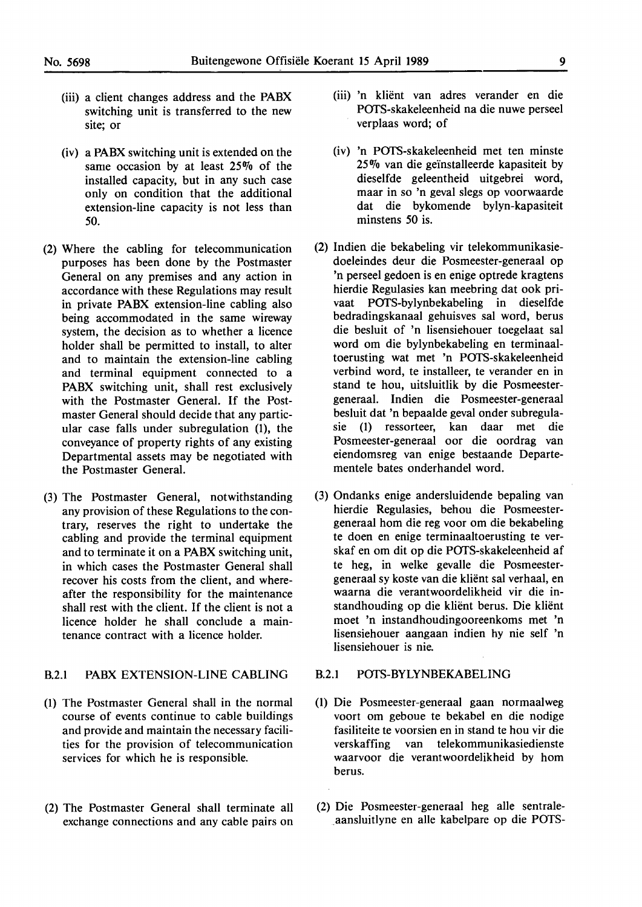- (iii) a client changes address and the **PABX**  switching unit is transferred to the new site; or
- (iv) a **PABX** switching unit is extended on the same occasion by at least 25% of the installed capacity, but in any such case only on condition that the additional extension-line capacity is not less than *50.*
- (2) Where the cabling for telecommunication purposes has been done by the Postmaster General on any premises and any action in accordance with these Regulations may result in private **PABX** extension-line cabling also being accommodated in the same wireway system, the decision as to whether a licence holder shall be permitted to install, to alter and to maintain the extension-line cabling and terminal equipment connected to a **PABX** switching unit, shall rest exclusively with the Postmaster General. If the Postmaster General should decide that any particular case falls under subregulation (I), the conveyance of property rights of any existing Departmental assets may be negotiated with the Postmaster General.
- (3) The Postmaster General, notwithstanding any provision of these Regulations to the contrary, reserves the right to undertake the cabling and provide the terminal equipment and to terminate it on a **PABX** switching unit, in which cases the Postmaster General shall recover his costs from the client, and whereafter the responsibility for the maintenance shall rest with the client. If the client is not a licence holder he shall conclude a maintenance contract with a licence holder.

#### B.2.1 PABX EXTENSION-LINE CABLING

- (1) The Postmaster General shall in the normal course of events continue to cable buildings and provide and maintain the necessary facilities for the provision of telecommunication services for which he is responsible.
- (2) The Postmaster General shall terminate all exchange connections and any cable pairs on
- (iii) 'n klient van adres verander en die POfS-skakeleenheid na die nuwe perseel verplaas word; of
- (iv) 'n POfS-skakeleenheid met ten minste 25% van die geinstalleerde kapasiteit by dieselfde geleentheid uitgebrei word, maar in so 'n geval slegs op voorwaarde dat die bykomende bylyn-kapasiteit minstens *50* is.
- (2) lndien die bekabeling vir telekommunikasiedoeleindes deur die Posmeester-generaal op 'n perseel gedoen is en enige optrede kragtens hierdie Regulasies kan meebring dat ook privaat POfS-bylynbekabeling in dieselfde bedradingskanaal gehuisves sal word, berus die besluit of 'n lisensiehouer toegelaat sal word om die bylynbekabeling en terminaaltoerusting wat met 'n POfS-skakeleenheid verbind word, te installeer, te verander en in stand te hou, uitsluitlik by die Posmeestergeneraal. lndien die Posmeester-generaal besluit dat 'n bepaalde geval onder subregulasie (1) ressorteer, kan daar met die Posmeester-generaal oor die oordrag van eiendomsreg van enige bestaande Departementele bates onderhandel word.
- (3) Ondanks enige andersluidende bepaling van hierdie Regulasies, behou die Posmeestergeneraal horn die reg voor om die bekabeling te doen en enige terminaaltoerusting te verskaf en om dit op die POfS-skakeleenheid af te beg, in welke gevalle die Posmeestergeneraal sy koste van die klient sal verhaal, en waarna die verantwoordelikheid vir die instandhouding op die klient berus. Die klient moet 'n instandhoudingooreenkoms met 'n lisensiehouer aangaan indien hy nie self 'n lisensiehouer is nie.

#### B.2.1 POfS-BYLYNBEKABELING

- (1) Die Posmeester-generaal gaan normaalweg voort om geboue te bekabel en die nodige fasiliteite te voorsien en in stand te hou vir die verskaffing van telekommunikasiedienste waarvoor die verantwoordelikheid by horn berus.
- (2) Die Posmeester-generaal heg alle sentraleaansluitlyne en alle kabelpare op die POTS-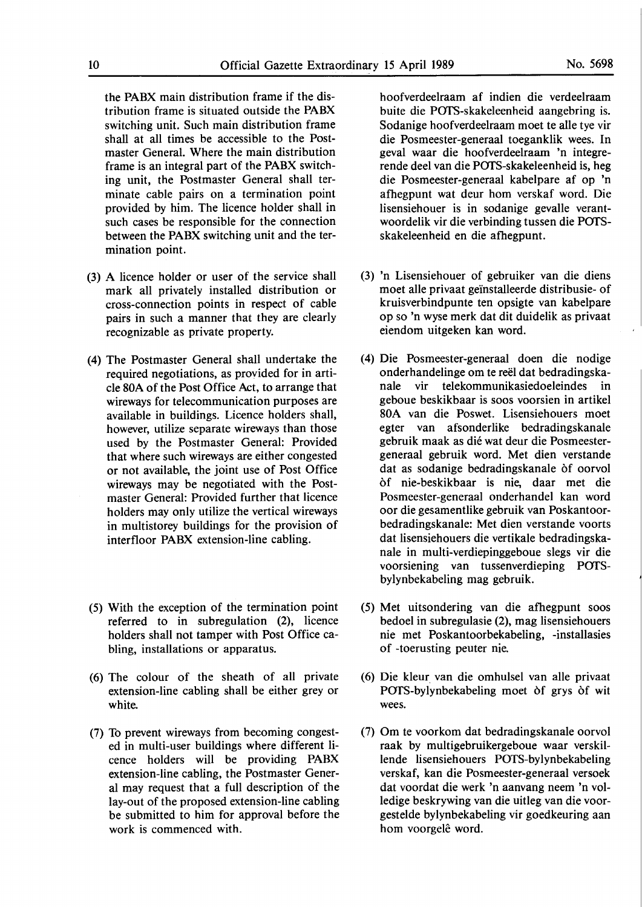the PABX main distribution frame if the distribution frame is situated outside the PABX switching unit. Such main distribution frame shall at all times be accessible to the Postmaster General. Where the main distribution frame is an integral part of the PABX switching unit, the Postmaster General shall terminate cable pairs on a termination point provided by him. The licence holder shall in such cases be responsible for the connection between the **PABX** switching unit and the termination point.

- (3) A licence holder or user of the service shall mark all privately installed distribution or cross-connection points in respect of cable pairs in such a manner that they are clearly recognizable as private property.
- (4) The Postmaster General shall undertake the required negotiations, as proyided for in article 80A of the Post Office Act, to arrange that wireways for telecommunication purposes are available in buildings. Licence holders shall, however, utilize separate wireways than those used by the Postmaster General: Provided that where such wireways are either congested or not available, the joint use of Post Office wireways may be negotiated with the Postmaster General: Provided further that licence holders may only utilize the vertical wireways in multistorey buildings for the provision of interfloor PABX extension-line cabling.
- (5) With the exception of the termination point referred to in subregulation  $(2)$ , licence holders shall not tamper with Post Office cabling, installations or apparatus.
- (6) The colour of the sheath of all private extension-line cabling shall be either grey or white.
- (7) To prevent wireways from becoming congested in multi-user buildings where different licence holders will be providing PABX extension-line cabling, the Postmaster General may request that a full description of the lay-out of the proposed extension-line cabling be submitted to him for approval before the work is commenced with.

hoofverdeelraam af indien die verdeelraam buite die POTS-skakeleenheid aangebring is. Sodanige hoofverdeelraam moet te alle tye vir die Posmeester-generaal toeganklik wees. In geval waar die hoofverdeelraam 'n integrerende deel van die POTS-skakeleenheid is, heg die Posmeester-generaal kabelpare af op 'n afhegpunt wat deur horn verskaf word. Die lisensiehouer is in sodanige gevalle verantwoordelik vir die verbinding tussen die POTSskakeleenheid en die afhegpunt.

- (3) 'n Lisensiehouer of gebruiker van die diens moet alle privaat geinstalleerde distribusie- of kruisverbindpunte ten opsigte van kabelpare op so 'n wyse merk dat dit duidelik as privaat eiendom uitgeken kan word.
- (4) Die Posmeester-generaal doen die nodige onderhandelinge om te reel dat bedradingskanale vir telekommunikasiedoeleindes in geboue beskikbaar is soos voorsien in artikel 80A van die Poswet. Lisensiehouers moet egter van afsonderlike bedradingskanale gebruik maak as die wat deur die Posmeestergeneraal gebruik word. Met dien verstande dat as sodanige bedradingskanale of oorvol of nie-beskikbaar is nie, daar met die Posmeester-generaal onderhandel kan word oor die gesamentlike gebruik van Poskantoorbedradingskanale: Met dien verstande voorts dat lisensiehouers die vertikale bedradingskanale in multi-verdiepinggeboue **slegs** vir die voorsiening van tussenverdieping POTSbylynbekabeling mag gebruik.
- (5) Met uitsondering van die afhegpunt soos bedoel in subregulasie (2), mag lisensiehouers nie met Poskantoorbekabeling, -installasies of -toerusting peuter nie.
- (6) Die klem van die omhulsel van alle privaat POTS-bylynbekabeling moet of grys of wit wees.
- (7) Om te voorkom dat bedradingskanale oorvol raak by multigebruikergeboue waar verskillende lisensiehouers POTS-bylynbekabeling verskaf, kan die Posmeester-generaal versoek dat voordat die werk 'n aanvang neem 'n volledige beskrywing van die uitleg van die voorgestelde bylynbekabeling vir goedkeuring aan hom voorgelê word.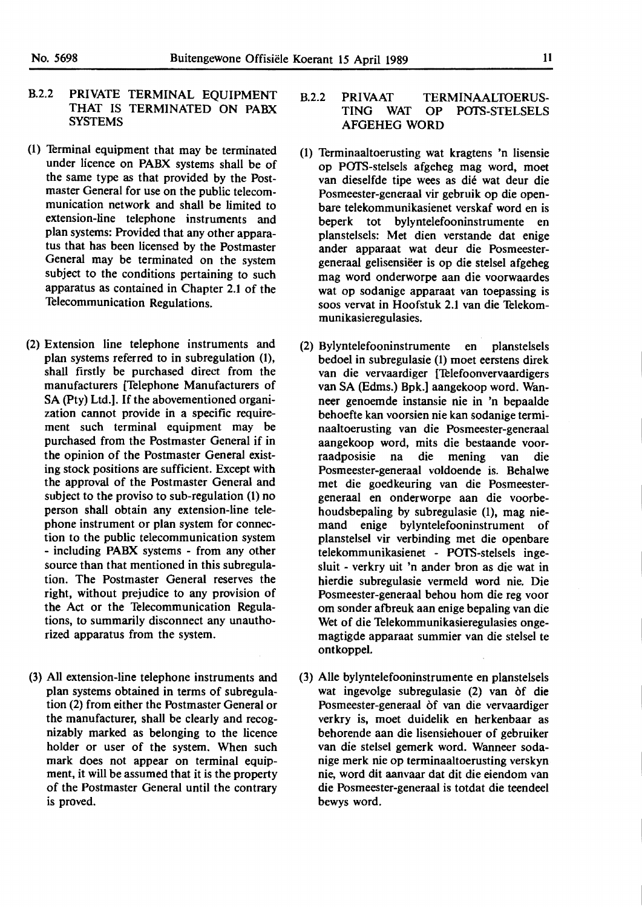- B.2.2 PRIVATE TERMINAL EQUIPMENT THAT IS TERMINATED ON PABX SYSTEMS
- (1) Terminal equipment that may be terminated under licence on **PABX** systems shall be of the same type as that provided by the Postmaster General for use on the public telecommunication network and shall be limited to extension-line telephone instruments and plan systems: Provided that any other apparatus that has been licensed by the Postmaster General may be terminated on the system subject to the conditions pertaining to such apparatus as contained in Chapter 2.1 of the Telecommunication Regulations.
- (2) Extension line telephone instruments and plan systems referred to in subregulation (1), shall firstly be purchased direct from the manufacturers [Telephone Manufacturers of SA (Pty) Ltd.]. If the abovementioned organization cannot provide in a specific requirement such terminal equipment may be purchased from the Postmaster General if in the opinion of the Postmaster General existing stock positions are sufficient. Except with the approval of the Postmaster General and subject to the proviso to sub-regulation (1) no person shall obtain any extension-line telephone instrument or plan system for connection to the public telecommunication system - including **PABX** systems - from any other source than that mentioned in this subregulation. The Postmaster General reserves the right, without prejudice to any provision of the Act or the Telecommunication **Regula**tions, to summarily disconnect any unauthorized apparatus from the system.
- (3) All extension-line telephone instruments and plan systems obtained in terms of subregulation (2) from either the Postmaster General or the manufacturer, shall be clearly and recognizably marked as belonging to the licence holder or user of the system. When such mark does not appear on terminal equipment, it will be assumed that it is the property of the Postmaster General until the contrary is proved.
- B.2.2 PRIVAAT TERMINAALTOERUS-TING WAT OP POTS-STELSELS AFGEHEG **WORD**
- (1) Terminaaltoerusting wat kragtens 'n lisensie op POTS-stelsels afgeheg mag word, moet van dieselfde tipe wees as die wat deur die Posmeester-generaal vir gebruik op die openbare telekommunikasienet verskaf word en is beperk tot bylyntelefooninstrumente en planstelsels: Met dien verstande dat enige ander apparaat wat deur die Posmeestergeneraal gelisensiëer is op die stelsel afgeheg mag word onderworpe aan die voorwaardes wat op sodanige apparaat van toepassing is soos vervat in Hoofstuk 2.1 van die Telekommunikasieregulasies.
- (2) Bylyntelefooninstrumente en planstelsels bedoel in subregulasie (1) moet eerstens direk van die vervaardiger ['Ielefoonvervaardigers van SA (Edms.) Bpk.] aangekoop word. Wanneer genoemde instansie nie in 'n bepaalde behoefte kan voorsien nie kan sodanige terminaaltoerusting van die Posmeester-generaal aangekoop word, mits die bestaande voorraadposisie na die mening van die Posmeester-generaal voldoende is. Behalwe met die goedkeuring van die Posmeestergeneraal en onderworpe aan die voorbehoudsbepaling by subregulasie (I), mag niemand enige bylyntelefooninstrument of planstelsel vir verbinding met die openbare telekommunikasienet - POTS-stelsels ingesluit - verkry uit 'n ander bron as die wat in hierdie subregulasie vermeld word nie. Die Posmeester-generaal behou horn die reg voor om sonder afbreuk aan enige bepaling van die Wet of die Telekommunikasieregulasies ongemagtigde apparaat summier van die stelsel te ontkoppel.
- (3) Alie bylyntelefooninstrumente en planstelsels wat ingevolge subregulasie (2) van of die Posmeester-generaal of van die vervaardiger verkry is, moet duidelik en herkenbaar as behorende aan die lisensiehouer of gebruiker van die stelsel gernerk word. Wanneer sodanige merk nie op terminaaltoerusting verskyn nie, word dit aanvaar dat dit die eiendom van die Posmeester-generaal is totdat die teendeel bewys word.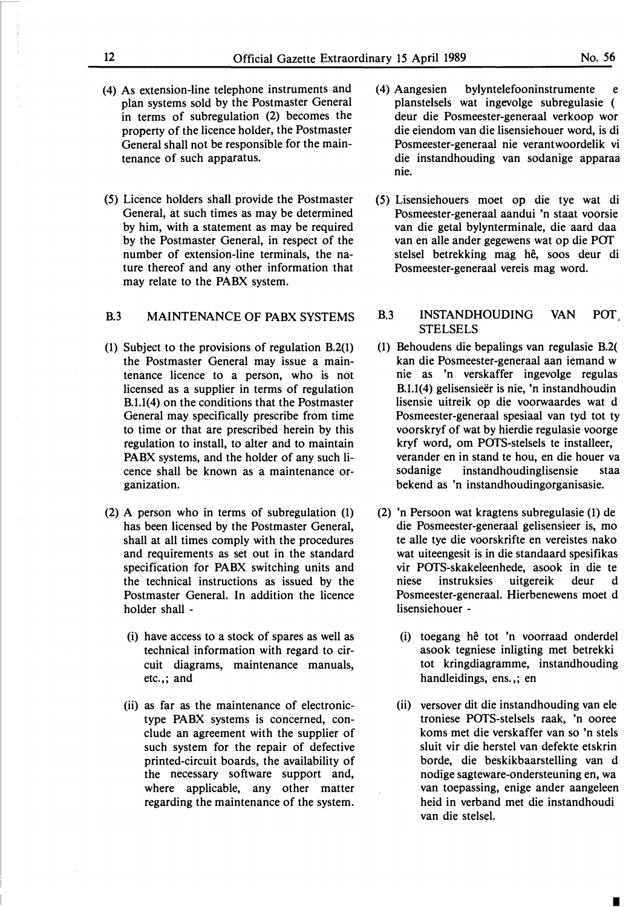- 
- **(4) As extension-line telephone instruments and plan systems sold by the Postmaster General in terms of subregulation (2) becomes the property of the licence holder, the Postmaster General shall not be responsible for the maintenance of such apparatus.**
- **(5) Licence holders shall provide the Postmaster General, at such times as may be determined by him, with a statement as may be required by the Postmaster General, in respect of the number of extension-line terminals, the nature thereof and any other information that may relate to the PABX system.**

# **B.3 MAINTENANCE OF PABX SYSTEMS**

- **(1) Subject to the provisions of regulation B.2(1) the Postmaster General may issue a maintenance licence to a person, who is not licensed as a supplier in terms of regulation B.1.1(4) on the conditions that the Postmaster General may specifically prescribe from time to time or that are prescribed herein by this regulation to install, to alter and to maintain PABX systems, and the holder of any such licence shall be known as a maintenance organization.**
- **(2) A person who in terms of subregulation (1) has been licensed by the Postmaster General, shall at all times comply with the procedures and requirements as set out in the standard specification for PABX switching units and the technical instructions as issued by the Postmaster General. In addition the licence holder shall -**
	- **(i) have access to a stock of spares as well as technical information with regard to circuit diagrams, maintenance manuals, etc.,; and**
	- **(ii) as far as the maintenance of electronictype PABX systems is concerned, conclude an agreement with the supplier of such system for the repair of defective printed-circuit boards, the availability of the necessary software support and, where applicable, any other matter regarding the maintenance of the system.**
- **(4) Aangesien bylyntelefooninstrumente e planstelsels wat ingevolge subregulasie ( deur die Posmeester-generaal verkoop wor die eiendom van die lisensiehouer word, is di Posmeester-generaal nie verantwoordelik vi die instandhouding van sodanige apparaa nie.**
- **(5) Lisensiehouers moet op die tye wat di Posmeester-generaal aandui 'n staat voorsie van die getal bylynterminale, die aard daa** van en alle ander gegewens wat op die POT **stelsel betrekking mag he, soos deur di Posmeester-generaal vereis mag word.**

# **B.3 INSTANDHOUDING VAN POf STELSELS**

- **(1) Behoudens die bepalings van regulasie B.2( kan die Posmeester-generaal aan iemand w** nie as 'n verskaffer ingevolge regulas **B.1.1(4) gelisensieer is nie, 'n instandhoudin lisensie uitreik op die voorwaardes wat d Posmeester-generaal spesiaal van tyd tot ty voorskryf of wat by hierdie regulasie voorge kryf word, om POTS-stelsels te installeer, verander en in stand te hou, en die houer va sodanige instandhoudinglisensie staa bekend as 'n instandhoudingorganisasie.**
- **(2) 'n Persoon wat kragtens subregulasie (1) de die Posmeester-generaal gelisensieer is, mo te alle tye die voorskrifte en vereistes nako wat uiteengesit is in die standaard spesifikas vir POTS-skakeleenhede, asook in die te niese instruksies uitgereik deur d Posmeester-generaal. Hierbenewens moet d lisensiehouer -**
	- **(i) toegang he tot 'n voorraad onderdel asook tegniese inligting met betrekki tot kringdiagramme, instandhouding handleidings, ens.,; en**
	- **(ii) versover dit die instandhouding van ele troniese POTS-stelsels raak, 'n ooree** koms met die verskaffer van so 'n stels **sluit vir die herstel van defekte etskrin borde, die beskikbaarstelling van d nodige sagteware-ondersteuning en, wa** van toepassing, enige ander aangeleen **heid in verband met die instandhoudi van die stelsel.**

I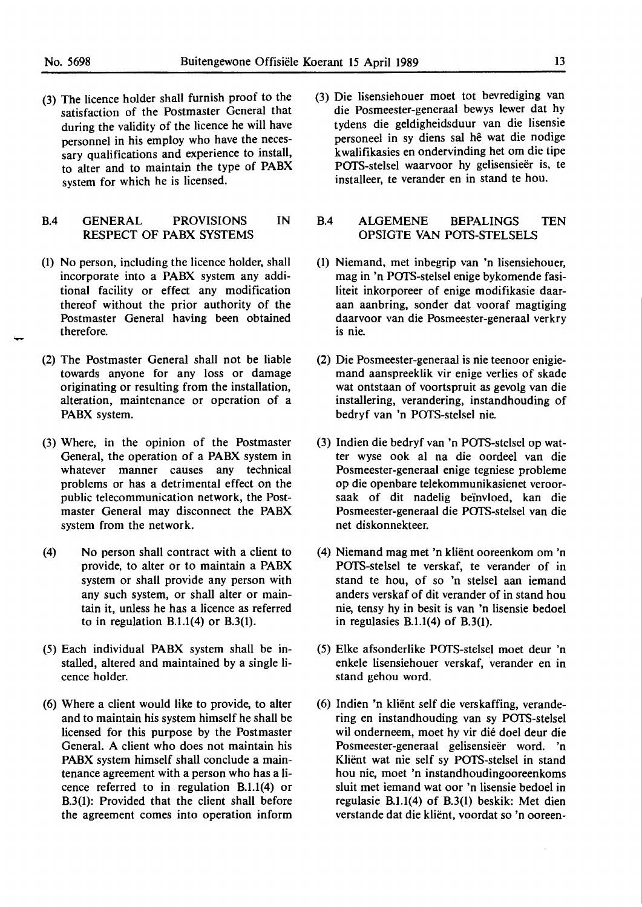(3) The licence holder shall furnish proof to the satisfaction of the Postmaster General that during the validity of the licence he will have personnel in his employ who have the necessary qualifications and experience to install, to alter and to maintain the type of PABX system for which he is licensed.

# B.4 GENERAL PROVISIONS **IN**  RESPECT OF **PABX** SYSTEMS

- (1) No person, including the licence holder, shall incorporate into a **PABX** system any additional facility or effect any modification thereof without the prior authority of the Postmaster General having been obtained therefore.
- (2) The Postmaster General shall not be liable towards anyone for any loss or damage originating or resulting from the installation, alteration, maintenance or operation of a **PABX** system.
- (3) Where, in the opinion of the Postmaster General, the operation of a **PABX** system in whatever manner causes any technical problems or has a detrimental effect on the public telecommunication network, the Postmaster General may disconnect the PABX system from the network.
- (4) No person shall contract with a client to provide, to alter or to maintain a PABX system or shall provide any person with any such system, or shall alter or maintain it, unless he has a licence as referred to in regulation B.1.1(4) or B.3(1).
- (5) Each individual **PABX** system shall be installed, altered and maintained by a single licence holder.
- (6) Where a client would like to provide, to alter and to maintain his system himself he shall be licensed for this purpose by the Postmaster General. A client who does not maintain his **PABX** system himself shall conclude a maintenance agreement with a person who has a licence referred to in regulation B.1.1(4) or B.3(1): Provided that the client shall before the agreement comes into operation inform

(3) Die lisensiehouer moet tot bevrediging van die Posmeester-generaal bewys lewer dat hy tydens die geldigheidsduur van die Iisensie personeel in sy diens sal he wat die nodige kwalifikasies en ondervinding bet om die tipe POTS-stelsel waarvoor hy gelisensieër is, te installeer, te verander en in stand te hou.

### B.4 ALGEMENE BEPALINGS TEN OPSIGTE VAN POTS-STELSELS

- (1) Niemand, met inbegrip van 'n lisensiehouer, mag in 'n POTS-stelsel enige bykomende fasiliteit inkorporeer of enige modifikasie daaraan aanbring, sonder dat vooraf magtiging daarvoor van die Posmeester-generaal verkry is nie.
- (2) Die Posmeester-generaal is nie teenoor enigiemand aanspreeklik vir enige verlies of skade wat ontstaan of voortspruit as gevolg van die installering, verandering, instandhouding of bedryf van 'n POTS-stelsel nie.
- (3) lndien die bedryf van 'n POTS-stelsel op watter wyse ook al na die oordeel van die Posmeester-generaal enige tegniese probleme op die openbare telekommunikasienet veroorsaak of dit nadelig beinvloed, kan die Posmeester-generaal die POTS-stelsel van die net diskonnekteer.
- (4) Niemand mag met 'n klient ooreenkom om 'n POTS-stelsel te verskaf, te verander of in stand te hou, of so 'n stelsel aan iemand anders verskaf of dit verander of in stand hou nie, tensy hy in besit is van 'n lisensie bedoel in regulasies B.1.1(4) of **B.3(1).**
- (5) Elke afsonderlike POTS-stelsel moet deur 'n enkele lisensiehouer verskaf, verander en in stand gehou word.
- (6) Indien 'n klient self die verskaffing, verandering en instandhouding van sy POTS-stelsel wil onderneem, moet hy vir die doel deur die Posmeester-generaal gelisensieër word. 'n Klient wat nie self sy POTS-stelsel in stand hou nie, moet 'n instandhoudingooreenkoms sluit met iemand wat oor 'n lisensie bedoel in regulasie B.1.1(4) of B.3(1) beskik: Met dien verstande dat die klient, voordat so 'n ooreen-